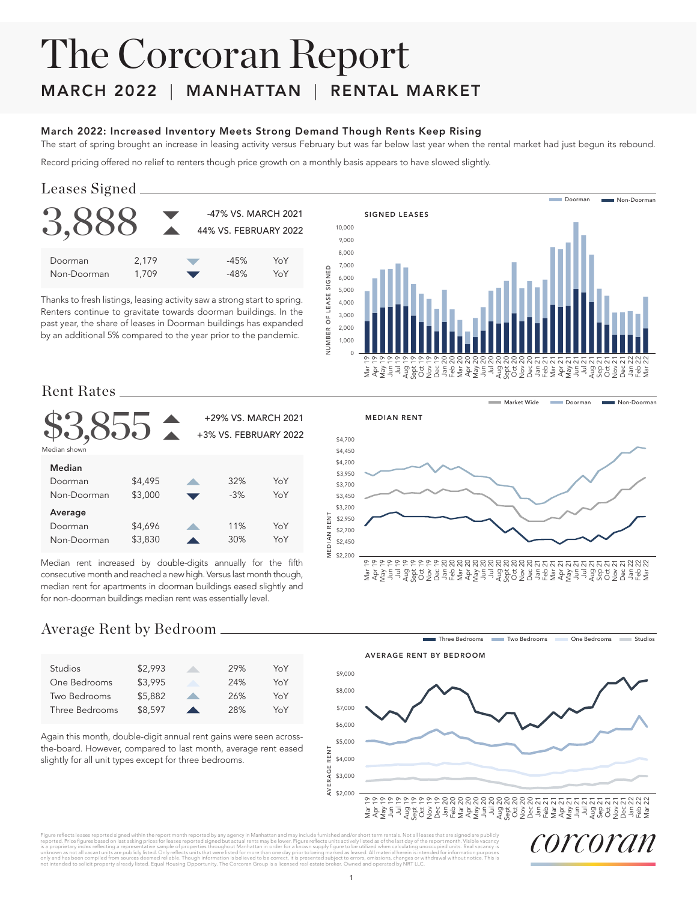# The Corcoran Report

## MARCH 2022 | MANHATTAN | RENTAL MARKET

#### March 2022: Increased Inventory Meets Strong Demand Though Rents Keep Rising

The start of spring brought an increase in leasing activity versus February but was far below last year when the rental market had just begun its rebound.

Record pricing offered no relief to renters though price growth on a monthly basis appears to have slowed slightly.

#### Leases Signed

|             |       | -47% VS. MARCH 2021<br>44% VS. FEBRUARY 2022 |     |
|-------------|-------|----------------------------------------------|-----|
| Doorman     | 2,179 | $-45%$                                       | YoY |
| Non-Doorman | 1,709 | $-48%$                                       | YoY |

Thanks to fresh listings, leasing activity saw a strong start to spring. Renters continue to gravitate towards doorman buildings. In the past year, the share of leases in Doorman buildings has expanded by an additional 5% compared to the year prior to the pandemic.



**Market Wide** 

Doorman **Non-Doorman** 

#### Rent Rates

|              |         | +29% VS. MARCH 2021<br>+3% VS. FEBRUARY 2022 |     |
|--------------|---------|----------------------------------------------|-----|
| Median shown |         |                                              |     |
| Median       |         |                                              |     |
| Doorman      | \$4,495 | 32%                                          | YoY |
| Non-Doorman  | \$3,000 | $-3%$                                        | YoY |
| Average      |         |                                              |     |
| Doorman      | \$4,696 | 11%                                          | YoY |
| Non-Doorman  | \$3,830 | 30%                                          | YoY |

Median rent increased by double-digits annually for the fifth consecutive month and reached a new high. Versus last month though, median rent for apartments in doorman buildings eased slightly and for non-doorman buildings median rent was essentially level.

#### MEDIAN RENT



#### Average Rent by Bedroom

| <b>Studios</b> | \$2.993 | 29% | YoY |
|----------------|---------|-----|-----|
| One Bedrooms   | \$3.995 | 24% | YoY |
| Two Bedrooms   | \$5,882 | 26% | YoY |
| Three Bedrooms | \$8,597 | 28% | YoY |

Again this month, double-digit annual rent gains were seen acrossthe-board. However, compared to last month, average rent eased slightly for all unit types except for three bedrooms.



Figure reflects leases reported signed within the report month reported by any agency in Manhattan and may include furnished and/or short term rentals. Not all leases that are signed are publicly incompled prices for lease ommotons, enanges or :<br>1d operated by NRT LLC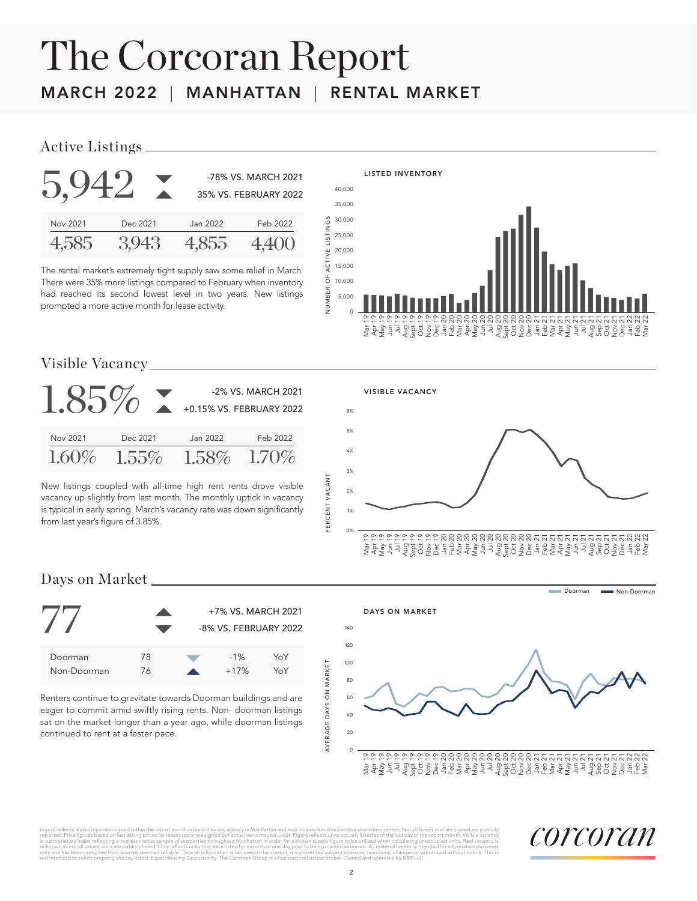# The Corcoran Report MARCH 2022 | MANHATTAN | RENTAL MARKET

#### Active Listings



The rental market's extremely tight supply saw some relief in March. There were 35% more listings compared to February when inventory had reached its second lowest level in two years. New listings prompted a more active month for lease activity.



#### Visible Vacancy

| $1.85\%$ |          | +0.15% VS. FEBRUARY 2022 | -2% VS. MARCH 2021 |
|----------|----------|--------------------------|--------------------|
| Nov 2021 | Dec 2021 | Jan 2022                 | Feb 2022           |
| $1.60\%$ | $1.55\%$ |                          | $1.58\%$ 1.70%     |

New listings coupled with all-time high rent rents drove visible vacancy up slightly from last month. The monthly uptick in vacancy is typical in early spring. March's vacancy rate was down significantly from last year's figure of 3.85%.



### Days on Market



Renters continue to gravitate towards Doorman buildings and are eager to commit amid swiftly rising rents. Non- doorman listings sat on the market longer than a year ago, while doorman listings continued to rent at a faster pace.



Figure rellects leases reported signed within the report month reported by any agency in Manhattan and may include furnished and/or short term rentals. Not all leases that are signed are publicly increased that are signed ors, omissions, cnanges or v<br>d and operated by NRT LLC